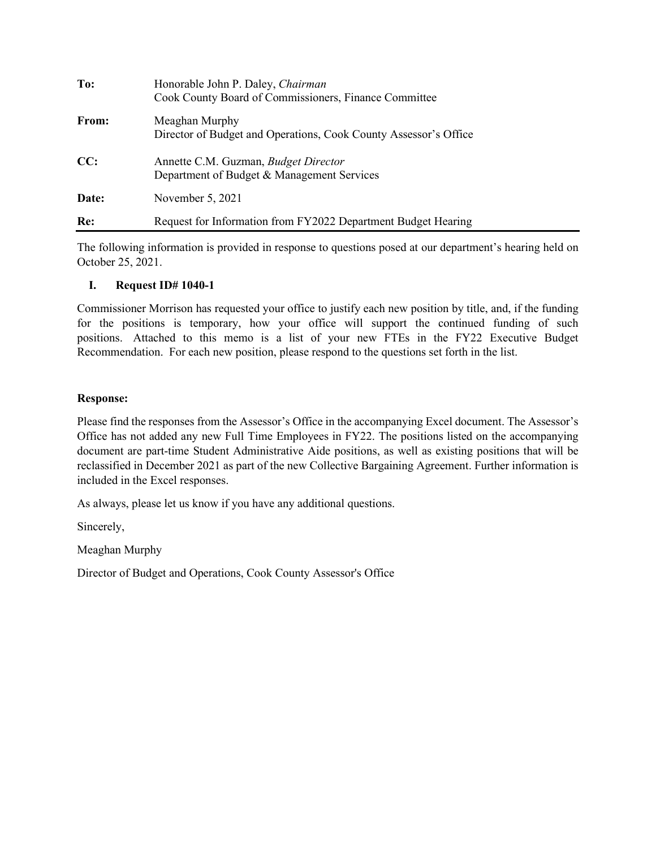| To:   | Honorable John P. Daley, Chairman<br>Cook County Board of Commissioners, Finance Committee |
|-------|--------------------------------------------------------------------------------------------|
| From: | Meaghan Murphy<br>Director of Budget and Operations, Cook County Assessor's Office         |
| CC:   | Annette C.M. Guzman, <i>Budget Director</i><br>Department of Budget & Management Services  |
| Date: | November 5, 2021                                                                           |
| Re:   | Request for Information from FY2022 Department Budget Hearing                              |

The following information is provided in response to questions posed at our department's hearing held on October 25, 2021.

## **I. Request ID# 1040-1**

Commissioner Morrison has requested your office to justify each new position by title, and, if the funding for the positions is temporary, how your office will support the continued funding of such positions. Attached to this memo is a list of your new FTEs in the FY22 Executive Budget Recommendation. For each new position, please respond to the questions set forth in the list.

## **Response:**

Please find the responses from the Assessor's Office in the accompanying Excel document. The Assessor's Office has not added any new Full Time Employees in FY22. The positions listed on the accompanying document are part-time Student Administrative Aide positions, as well as existing positions that will be reclassified in December 2021 as part of the new Collective Bargaining Agreement. Further information is included in the Excel responses.

As always, please let us know if you have any additional questions.

Sincerely,

Meaghan Murphy

Director of Budget and Operations, Cook County Assessor's Office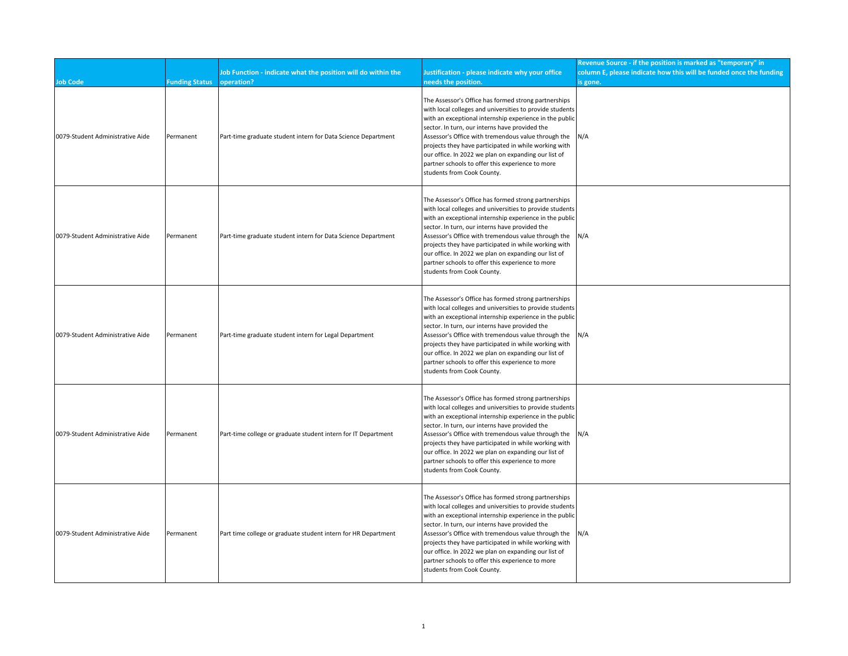| <b>Job Code</b>                  | <b>Funding Status</b> | Job Function - indicate what the position will do within the<br>operation? | Justification - please indicate why your office<br>needs the position.                                                                                                                                                                                                                                                                                                                                                                                                                  | Revenue Source - if the position is marked as "temporary" in<br>column E, please indicate how this will be funded once the funding<br>is gone. |
|----------------------------------|-----------------------|----------------------------------------------------------------------------|-----------------------------------------------------------------------------------------------------------------------------------------------------------------------------------------------------------------------------------------------------------------------------------------------------------------------------------------------------------------------------------------------------------------------------------------------------------------------------------------|------------------------------------------------------------------------------------------------------------------------------------------------|
| 0079-Student Administrative Aide | Permanent             | Part-time graduate student intern for Data Science Department              | The Assessor's Office has formed strong partnerships<br>with local colleges and universities to provide students<br>with an exceptional internship experience in the public<br>sector. In turn, our interns have provided the<br>Assessor's Office with tremendous value through the<br>projects they have participated in while working with<br>our office. In 2022 we plan on expanding our list of<br>partner schools to offer this experience to more<br>students from Cook County. | N/A                                                                                                                                            |
| 0079-Student Administrative Aide | Permanent             | Part-time graduate student intern for Data Science Department              | The Assessor's Office has formed strong partnerships<br>with local colleges and universities to provide students<br>with an exceptional internship experience in the public<br>sector. In turn, our interns have provided the<br>Assessor's Office with tremendous value through the<br>projects they have participated in while working with<br>our office. In 2022 we plan on expanding our list of<br>partner schools to offer this experience to more<br>students from Cook County. | N/A                                                                                                                                            |
| 0079-Student Administrative Aide | Permanent             | Part-time graduate student intern for Legal Department                     | The Assessor's Office has formed strong partnerships<br>with local colleges and universities to provide students<br>with an exceptional internship experience in the public<br>sector. In turn, our interns have provided the<br>Assessor's Office with tremendous value through the<br>projects they have participated in while working with<br>our office. In 2022 we plan on expanding our list of<br>partner schools to offer this experience to more<br>students from Cook County. | N/A                                                                                                                                            |
| 0079-Student Administrative Aide | Permanent             | Part-time college or graduate student intern for IT Department             | The Assessor's Office has formed strong partnerships<br>with local colleges and universities to provide students<br>with an exceptional internship experience in the public<br>sector. In turn, our interns have provided the<br>Assessor's Office with tremendous value through the<br>projects they have participated in while working with<br>our office. In 2022 we plan on expanding our list of<br>partner schools to offer this experience to more<br>students from Cook County. | N/A                                                                                                                                            |
| 0079-Student Administrative Aide | Permanent             | Part time college or graduate student intern for HR Department             | The Assessor's Office has formed strong partnerships<br>with local colleges and universities to provide students<br>with an exceptional internship experience in the public<br>sector. In turn, our interns have provided the<br>Assessor's Office with tremendous value through the<br>projects they have participated in while working with<br>our office. In 2022 we plan on expanding our list of<br>partner schools to offer this experience to more<br>students from Cook County. | N/A                                                                                                                                            |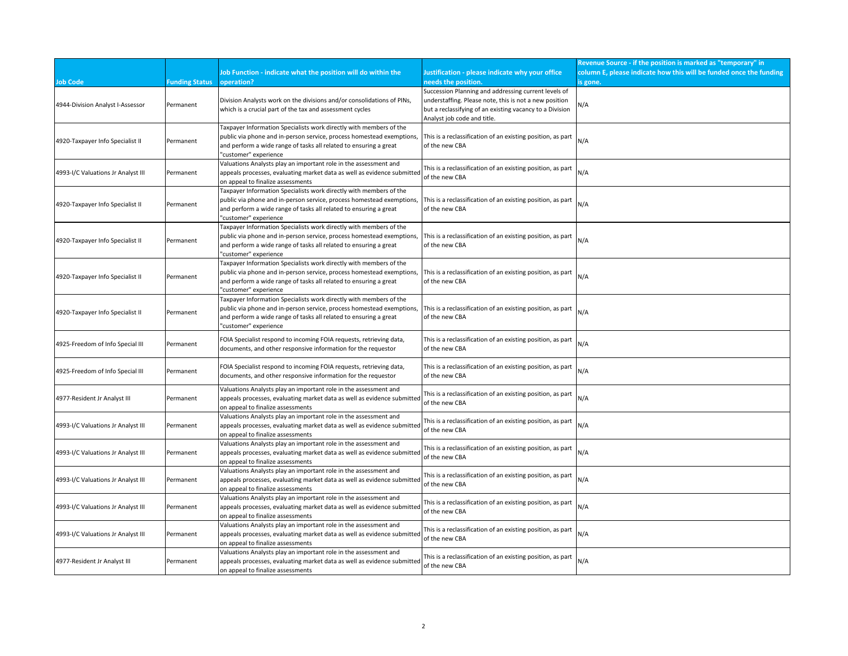|                                    |                       |                                                                                                                                                                                                                                           |                                                                                                                                                                                                           | Revenue Source - if the position is marked as "temporary" in       |
|------------------------------------|-----------------------|-------------------------------------------------------------------------------------------------------------------------------------------------------------------------------------------------------------------------------------------|-----------------------------------------------------------------------------------------------------------------------------------------------------------------------------------------------------------|--------------------------------------------------------------------|
|                                    |                       | Job Function - indicate what the position will do within the                                                                                                                                                                              | Justification - please indicate why your office                                                                                                                                                           | column E, please indicate how this will be funded once the funding |
| <b>Job Code</b>                    | <b>Funding Status</b> | operation?                                                                                                                                                                                                                                | needs the position.                                                                                                                                                                                       | is gone.                                                           |
| 4944-Division Analyst I-Assessor   | Permanent             | Division Analysts work on the divisions and/or consolidations of PINs,<br>which is a crucial part of the tax and assessment cycles                                                                                                        | Succession Planning and addressing current levels of<br>understaffing. Please note, this is not a new position<br>but a reclassifying of an existing vacancy to a Division<br>Analyst job code and title. | ۷/A                                                                |
| 4920-Taxpayer Info Specialist II   | Permanent             | Taxpayer Information Specialists work directly with members of the<br>public via phone and in-person service, process homestead exemptions,<br>and perform a wide range of tasks all related to ensuring a great<br>'customer" experience | This is a reclassification of an existing position, as part<br>of the new CBA                                                                                                                             | N/A                                                                |
| 4993-I/C Valuations Jr Analyst III | Permanent             | Valuations Analysts play an important role in the assessment and<br>appeals processes, evaluating market data as well as evidence submitted<br>on appeal to finalize assessments                                                          | This is a reclassification of an existing position, as part<br>of the new CBA                                                                                                                             | N/A                                                                |
| 4920-Taxpayer Info Specialist II   | Permanent             | Taxpayer Information Specialists work directly with members of the<br>public via phone and in-person service, process homestead exemptions,<br>and perform a wide range of tasks all related to ensuring a great<br>'customer" experience | This is a reclassification of an existing position, as part<br>of the new CBA                                                                                                                             | N/A                                                                |
| 4920-Taxpayer Info Specialist II   | Permanent             | Taxpayer Information Specialists work directly with members of the<br>public via phone and in-person service, process homestead exemptions,<br>and perform a wide range of tasks all related to ensuring a great<br>'customer" experience | This is a reclassification of an existing position, as part<br>of the new CBA                                                                                                                             | N/A                                                                |
| 4920-Taxpayer Info Specialist II   | Permanent             | Taxpayer Information Specialists work directly with members of the<br>public via phone and in-person service, process homestead exemptions,<br>and perform a wide range of tasks all related to ensuring a great<br>'customer" experience | This is a reclassification of an existing position, as part<br>of the new CBA                                                                                                                             | N/A                                                                |
| 4920-Taxpayer Info Specialist II   | Permanent             | Taxpayer Information Specialists work directly with members of the<br>public via phone and in-person service, process homestead exemptions,<br>and perform a wide range of tasks all related to ensuring a great<br>'customer" experience | This is a reclassification of an existing position, as part<br>of the new CBA                                                                                                                             | N/A                                                                |
| 4925-Freedom of Info Special III   | Permanent             | FOIA Specialist respond to incoming FOIA requests, retrieving data,<br>documents, and other responsive information for the requestor                                                                                                      | This is a reclassification of an existing position, as part<br>of the new CBA                                                                                                                             | N/A                                                                |
| 4925-Freedom of Info Special III   | Permanent             | FOIA Specialist respond to incoming FOIA requests, retrieving data,<br>documents, and other responsive information for the requestor                                                                                                      | This is a reclassification of an existing position, as part<br>of the new CBA                                                                                                                             | N/A                                                                |
| 4977-Resident Jr Analyst III       | Permanent             | Valuations Analysts play an important role in the assessment and<br>appeals processes, evaluating market data as well as evidence submitted<br>on appeal to finalize assessments                                                          | This is a reclassification of an existing position, as part<br>of the new CBA                                                                                                                             | N/A                                                                |
| 4993-I/C Valuations Jr Analyst III | Permanent             | Valuations Analysts play an important role in the assessment and<br>appeals processes, evaluating market data as well as evidence submitted<br>on appeal to finalize assessments                                                          | This is a reclassification of an existing position, as part<br>of the new CBA                                                                                                                             | N/A                                                                |
| 4993-I/C Valuations Jr Analyst III | Permanent             | Valuations Analysts play an important role in the assessment and<br>appeals processes, evaluating market data as well as evidence submitted<br>on appeal to finalize assessments                                                          | This is a reclassification of an existing position, as part<br>of the new CBA                                                                                                                             | N/A                                                                |
| 4993-I/C Valuations Jr Analyst III | Permanent             | Valuations Analysts play an important role in the assessment and<br>appeals processes, evaluating market data as well as evidence submitted<br>on appeal to finalize assessments                                                          | This is a reclassification of an existing position, as part<br>of the new CBA                                                                                                                             | N/A                                                                |
| 4993-I/C Valuations Jr Analyst III | Permanent             | Valuations Analysts play an important role in the assessment and<br>appeals processes, evaluating market data as well as evidence submitted<br>on appeal to finalize assessments                                                          | This is a reclassification of an existing position, as part<br>of the new CBA                                                                                                                             | N/A                                                                |
| 4993-I/C Valuations Jr Analyst III | Permanent             | Valuations Analysts play an important role in the assessment and<br>appeals processes, evaluating market data as well as evidence submitted<br>on appeal to finalize assessments                                                          | This is a reclassification of an existing position, as part<br>of the new CBA                                                                                                                             | N/A                                                                |
| 4977-Resident Jr Analyst III       | Permanent             | Valuations Analysts play an important role in the assessment and<br>appeals processes, evaluating market data as well as evidence submitted<br>on appeal to finalize assessments                                                          | This is a reclassification of an existing position, as part<br>of the new CBA                                                                                                                             | N/A                                                                |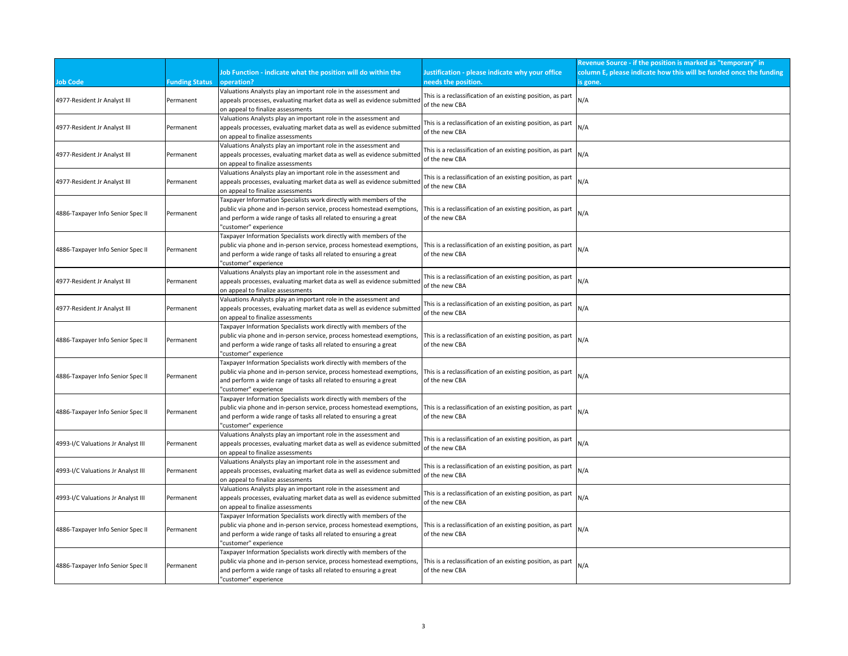|                                    |                       |                                                                                                              |                                                                               | Revenue Source - if the position is marked as "temporary" in       |
|------------------------------------|-----------------------|--------------------------------------------------------------------------------------------------------------|-------------------------------------------------------------------------------|--------------------------------------------------------------------|
|                                    |                       | Job Function - indicate what the position will do within the                                                 | Justification - please indicate why your office                               | column E, please indicate how this will be funded once the funding |
| <b>Job Code</b>                    | <b>Funding Status</b> | operation?                                                                                                   | needs the position.                                                           | is gone.                                                           |
|                                    |                       | Valuations Analysts play an important role in the assessment and                                             | This is a reclassification of an existing position, as part                   |                                                                    |
| 4977-Resident Jr Analyst III       | Permanent             | appeals processes, evaluating market data as well as evidence submitted                                      | of the new CBA                                                                | N/A                                                                |
|                                    |                       | on appeal to finalize assessments                                                                            |                                                                               |                                                                    |
|                                    |                       | Valuations Analysts play an important role in the assessment and                                             | This is a reclassification of an existing position, as part                   |                                                                    |
| 4977-Resident Jr Analyst III       | Permanent             | appeals processes, evaluating market data as well as evidence submitted                                      | of the new CBA                                                                | N/A                                                                |
|                                    |                       | on appeal to finalize assessments                                                                            |                                                                               |                                                                    |
| 4977-Resident Jr Analyst III       |                       | Valuations Analysts play an important role in the assessment and                                             | This is a reclassification of an existing position, as part                   | N/A                                                                |
|                                    | Permanent             | appeals processes, evaluating market data as well as evidence submitted<br>on appeal to finalize assessments | of the new CBA                                                                |                                                                    |
|                                    |                       | Valuations Analysts play an important role in the assessment and                                             |                                                                               |                                                                    |
| 4977-Resident Jr Analyst III       | Permanent             | appeals processes, evaluating market data as well as evidence submitted                                      | This is a reclassification of an existing position, as part                   | N/A                                                                |
|                                    |                       | on appeal to finalize assessments                                                                            | of the new CBA                                                                |                                                                    |
|                                    |                       | Taxpayer Information Specialists work directly with members of the                                           |                                                                               |                                                                    |
|                                    | Permanent             | public via phone and in-person service, process homestead exemptions,                                        | This is a reclassification of an existing position, as part                   | N/A                                                                |
| 4886-Taxpayer Info Senior Spec II  |                       | and perform a wide range of tasks all related to ensuring a great                                            | of the new CBA                                                                |                                                                    |
|                                    |                       | 'customer" experience                                                                                        |                                                                               |                                                                    |
|                                    |                       | Taxpayer Information Specialists work directly with members of the                                           |                                                                               |                                                                    |
| 4886-Taxpayer Info Senior Spec II  | Permanent             | public via phone and in-person service, process homestead exemptions,                                        | This is a reclassification of an existing position, as part                   | N/A                                                                |
|                                    |                       | and perform a wide range of tasks all related to ensuring a great                                            | of the new CBA                                                                |                                                                    |
|                                    |                       | 'customer" experience                                                                                        |                                                                               |                                                                    |
|                                    |                       | Valuations Analysts play an important role in the assessment and                                             | This is a reclassification of an existing position, as part                   | N/A                                                                |
| 4977-Resident Jr Analyst III       | Permanent             | appeals processes, evaluating market data as well as evidence submitted<br>on appeal to finalize assessments | of the new CBA                                                                |                                                                    |
|                                    |                       | Valuations Analysts play an important role in the assessment and                                             |                                                                               |                                                                    |
| 4977-Resident Jr Analyst III       | Permanent             | appeals processes, evaluating market data as well as evidence submitted                                      | This is a reclassification of an existing position, as part                   | N/A                                                                |
|                                    |                       | on appeal to finalize assessments                                                                            | of the new CBA                                                                |                                                                    |
|                                    |                       | Taxpayer Information Specialists work directly with members of the                                           |                                                                               |                                                                    |
|                                    |                       | public via phone and in-person service, process homestead exemptions,                                        | This is a reclassification of an existing position, as part                   | N/A                                                                |
| 4886-Taxpayer Info Senior Spec II  | Permanent             | and perform a wide range of tasks all related to ensuring a great                                            | of the new CBA                                                                |                                                                    |
|                                    |                       | 'customer" experience                                                                                        |                                                                               |                                                                    |
|                                    | Permanent             | Taxpayer Information Specialists work directly with members of the                                           |                                                                               |                                                                    |
| 4886-Taxpayer Info Senior Spec II  |                       | public via phone and in-person service, process homestead exemptions,                                        | This is a reclassification of an existing position, as part<br>N/A            |                                                                    |
|                                    |                       | and perform a wide range of tasks all related to ensuring a great                                            | of the new CBA                                                                |                                                                    |
|                                    |                       | 'customer" experience<br>Taxpayer Information Specialists work directly with members of the                  |                                                                               |                                                                    |
|                                    |                       | public via phone and in-person service, process homestead exemptions,                                        | This is a reclassification of an existing position, as part                   |                                                                    |
| 4886-Taxpayer Info Senior Spec II  | Permanent             | and perform a wide range of tasks all related to ensuring a great                                            | of the new CBA                                                                | N/A                                                                |
|                                    |                       | 'customer" experience                                                                                        |                                                                               |                                                                    |
|                                    |                       | Valuations Analysts play an important role in the assessment and                                             |                                                                               |                                                                    |
| 4993-I/C Valuations Jr Analyst III | Permanent             | appeals processes, evaluating market data as well as evidence submitted                                      | This is a reclassification of an existing position, as part<br>of the new CBA | N/A                                                                |
|                                    |                       | on appeal to finalize assessments                                                                            |                                                                               |                                                                    |
|                                    | Permanent             | Valuations Analysts play an important role in the assessment and                                             | This is a reclassification of an existing position, as part<br>of the new CBA | N/A                                                                |
| 4993-I/C Valuations Jr Analyst III |                       | appeals processes, evaluating market data as well as evidence submitted                                      |                                                                               |                                                                    |
|                                    |                       | on appeal to finalize assessments                                                                            |                                                                               |                                                                    |
| 4993-I/C Valuations Jr Analyst III |                       | Valuations Analysts play an important role in the assessment and                                             | This is a reclassification of an existing position, as part                   |                                                                    |
|                                    | Permanent             | appeals processes, evaluating market data as well as evidence submitted                                      | of the new CBA                                                                | N/A                                                                |
|                                    |                       | on appeal to finalize assessments<br>Taxpayer Information Specialists work directly with members of the      |                                                                               |                                                                    |
| 4886-Taxpayer Info Senior Spec II  | Permanent             | public via phone and in-person service, process homestead exemptions,                                        | This is a reclassification of an existing position, as part                   |                                                                    |
|                                    |                       | and perform a wide range of tasks all related to ensuring a great                                            | of the new CBA                                                                | N/A                                                                |
|                                    |                       | 'customer" experience                                                                                        |                                                                               |                                                                    |
|                                    |                       | Taxpayer Information Specialists work directly with members of the                                           |                                                                               |                                                                    |
|                                    |                       | public via phone and in-person service, process homestead exemptions,                                        | This is a reclassification of an existing position, as part                   | N/A                                                                |
| 4886-Taxpayer Info Senior Spec II  | Permanent             | and perform a wide range of tasks all related to ensuring a great                                            | of the new CBA                                                                |                                                                    |
|                                    |                       | "customer" experience                                                                                        |                                                                               |                                                                    |